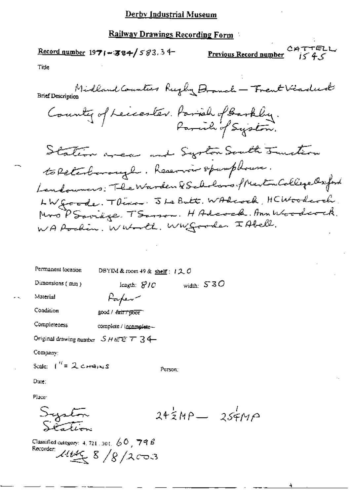### **Railway Drawings Recording Form**

CATTELL  $\frac{\text{Record number}}{1971 - 384}$  583.34 Previous Record number  $i < 4 <$ Title Midland Counter Rugby Branch - Frent Viadud County of Leicester. Parish of Barkby. Station wear and Systom South Juntion to Retesburough. Reservoir spamphonen. Landowners: The Warden & Scholars, Merton College Oxford LW goode. There . I Le Butt. WAReock, HCWoodcock. Mro PSovinge. TSorson. HAdeock. Ann Weedcock. WA Rockin. Wheneth. Whygoode. I Abell.

| Permanent location                    | DBYIM & room 49 & shelf: $120$ |         |              |                                       |
|---------------------------------------|--------------------------------|---------|--------------|---------------------------------------|
| Dimensions (mm)                       | length: $S/O$                  |         | width: $S3O$ |                                       |
| Material                              | Parfew <sup>n</sup>            |         |              |                                       |
| Condition                             | good / fair / poor             |         |              |                                       |
| Completeness                          | complete / incomplete -        |         |              |                                       |
| Original drawing number $SHE E T 34$  |                                |         |              |                                       |
| Company:                              |                                |         |              |                                       |
| Scale: $\int_{0}^{H} = 2 \cot \theta$ |                                | Person: |              |                                       |
| Dute:                                 |                                |         |              |                                       |
| Place:                                |                                |         |              |                                       |
|                                       |                                |         |              | $24\overline{5}MP - 25\overline{5}MP$ |

Classified category: 4, 721, 301,  $60$ , 798 Recorder:  $\mathcal{U} \leq \frac{8}{8}$  /8/2 $\cos 3$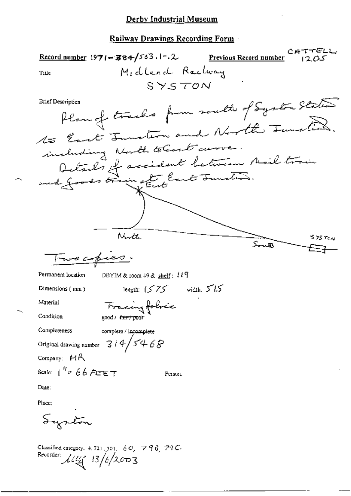Record number 1971-384/563.1-.2 Previous Record number Midlend Rachway Title  $SYSTON$ Plan of tracks from south of System States **Brief Description** to East Junction and North Junction including North to Cost arrow. Details of accident between Mail train North  $\mathsf{s}$  75  $\tau_{\mathit{c} \, \mathcal{N}}$ South Two copies. Permanent location DBYIM & room  $+9$  & shelf:  $119$ length:  $(575 \text{ width: } 515$ Dimensions (mm) Material Fracing folice Condition good / <del>fair / poo</del>r Completeness complete / incomplete  $314/5468$ Original drawing number Company: MR Scale:  $1'' = 66$  FEET Person: Date:

Place:

Syrton

Classified category, 4, 721 [301] 60, 798 79C Recorder:  $\mu_{\mathcal{U}}$  13/6/2003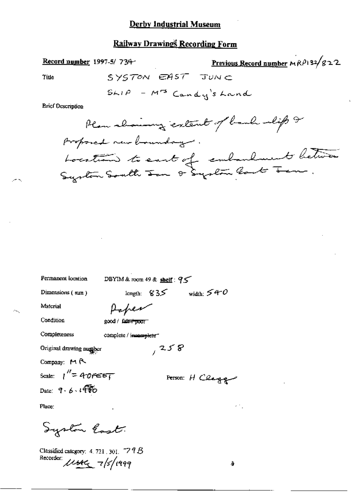# Railway Drawings Recording Form

Record number 1997-5/734-

Previous Record number  $M_R$  $(132/g22)$ 

Title

$$
SYSTON
$$
 
$$
ENT
$$
 
$$
TUNC
$$
 
$$
SMP = M^3
$$
 
$$
Cand y's hand
$$

**Brief Description** 

Permanent location

DBYIM & room 49 & shelf:  $95$ 

Dimensions (mm)

length:  $835$  width:  $540$ 

 $7258$ 

Material

Paper

Condition

good / fater poor

Completeness

complete / immensioner

Original drawing number

Company: MR

Scale:  $1'' = 40$ reet Date:  $9.6.190$ 

Person: H Clagge

 $\mathcal{L}^{(1,0)}$ 

 $\lambda$ 

Place:

System lost.

Classified category: 4, 721, 301,  $-$  7 9  $\beta$ Recorder Usec 7/5/1999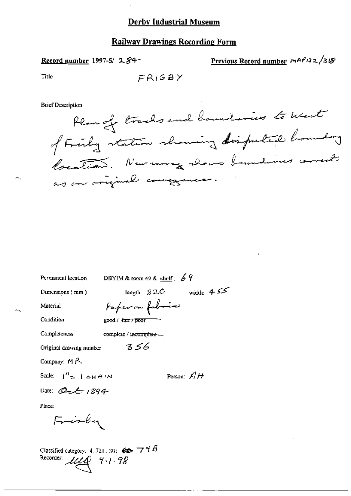### Record number 1997-5/ 284-

Previous Record number 
$$
\sqrt{P^2/3} \times \sqrt{3} \sqrt{8}
$$

**Title** 

$$
{\small F}{\small R}{\small I}{\small S}{\small B}{\small Y}
$$

**Brief Description** 

Ham of tracks and boundaries to the  
\n
$$
\phi
$$
 Find  $\frac{1}{2}$  relation, showing the input of the  
\n $\phi$  for all  $\phi$  and  $\phi$  are the number of  $\phi$  and  $\phi$  are equal to  $\phi$ .

DBYIM & room 49 & shelf:  $69$ Permanent location length:  $820$  width:  $455$ Dimensions (mm) Paper on folmia Material Condition good / fair / poor Completeness complete / incomplete- $356$ Original drawing number Company:  $M \land \neg$ Scale:  $\int_0^H \pi$   $\int \pi dH \, dH$ Person:  $AH$ Date:  $O2 + 1894$ Place: Frisley Classified category: 4, 721, 301,  $\iff$   $\top$   $\mathcal{F}\mathcal{B}$ Recorder: ULQ 9.1.98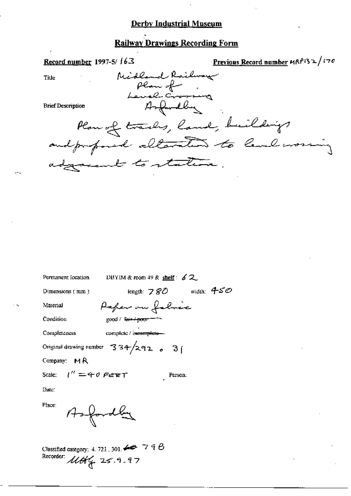# **Railway Drawings Recording Form**

| Record number 1997-5/ $163$                           | Previous Record number MRP132/170 |
|-------------------------------------------------------|-----------------------------------|
| Midland Railway<br>Title                              |                                   |
| plan of                                               |                                   |
| Level Croming<br>Asfandly<br><b>Brief Description</b> |                                   |
|                                                       |                                   |
| Plan of tracks, land, buildings                       |                                   |
| and professed alterations to level worsing            |                                   |
| adgreent to station.                                  |                                   |
|                                                       |                                   |

DBYIM & room 49 & shelf:  $62$ Permanent location length:  $780$  width:  $450$ Dimensions (mm) Paper on folice Material good / fair / poor = -Condition complete / isesmplete-Completeness Original drawing number  $334/292$  e 3 Company: MR  $1'' = 40$  Fert Scale: Person: Date: Place: fordla  $\gamma_{+-}$ 

Classified category: 4, 721, 301,  $\leftrightarrow$  7 9  $\theta$ Recorder:  $\mathcal{U}\mathcal{H}$  25.9.97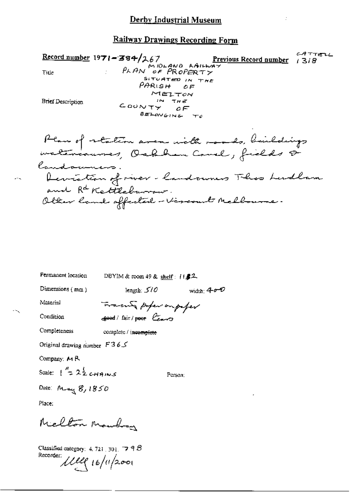PLAND AAILWAY<br>PLAN OF PROPERTY CATTELL Record number  $1971 - 384/267$  $1318$ Title  $PAR$ ish Of MELTON **Brief Description**  $IN$  THE COUNTY  $\overline{\mathcal{Q}}$  $\overline{\mathcal{F}}$ BELONGING TO

Plan of station aver with roads, buildings<br>watercourses, Oakhan Carel, fields & landowners. Deviation of river-landowners This Ludlam and R<sup>d</sup> Kettleburrow.<br>Olter land affected - Vironal Melbourne.

Permanent location DBYIM & toom 49 & shelf: [1.#2. Dimensions (mm) length:  $5/0$ width:  $400$ 

Material

Transmit profer outselver  $\epsilon$  and  $\epsilon$  and  $\epsilon$  and  $\epsilon$ 

Condition Completeness

complete / incomplete

Original drawing number  $F365$ 

Company: MR

Scale:  $\int_{0}^{\pi} 2\frac{1}{2}$  chains

Person;

Date: May 8, 1850

Place:

Mielton Maubron

Classified category:  $4.721$ ,  $301$ ,  $79.6$ Recorder: 1119 16/11/2001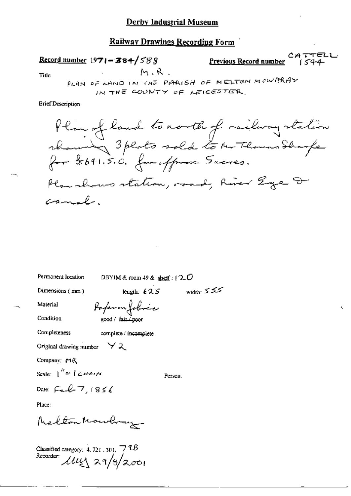**Railway Drawings Recording Form** 

CATTELL Record number  $1971 - 384 / 588$ Previous Record number  $M, R$ . Tide

PLAN OF LAND IN THE PARISH OF MELTON MOWBRAY IN THE COUNTY OF LEICESTER.

**Brief Description** 

Plan of land to north of railwaystation rhaming 3 plats sold to Mr Thomas Sharp for \$641.5.0. for offered Sacres. Plan shows station, road, River Ege & canal.

width:  $555$ 

Permanent location

DBYIM & room  $49$  & shelf:  $120$ 

Dimensions  $(mn)$ 

Material

length:  $625$ 

Condition

Paperonfolice good / fair / poor

complete / incomplete

Original drawing number  $\forall \lambda$ 

Company: HR

Completeness

Scale:  $\int^h = \int C H^2 dN$ 

Person:

Date:  $F_{\infty} \ell_{\infty} 7.1856$ 

Place:

Melton Mowbray

Classified category:  $4.721$ ,  $301$ ,  $79.6$ Recorder:  $\mu$ uzz 29/3/2001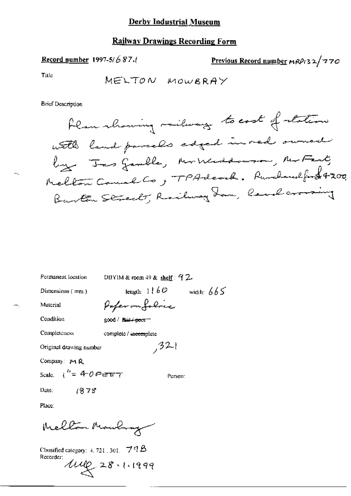Record number 1997-5/687.

$$
Previous Record number  $MRP/32/770$
$$

Title

**Brief Description** 

| Permanent location                        | DBYIM & room $49$ & shelf: $9$ 2               |  |  |  |  |
|-------------------------------------------|------------------------------------------------|--|--|--|--|
| Dimensions (mm)                           | length: $1\ell$ b $\mathcal O$<br>width: $665$ |  |  |  |  |
| Material                                  | Paperonfolocc                                  |  |  |  |  |
| Condition                                 | good / f <del>air / poor +</del>               |  |  |  |  |
| Completeness                              | complete / incomplete                          |  |  |  |  |
|                                           | ,32<br>Original drawing number                 |  |  |  |  |
| Company: $M$ $R$                          |                                                |  |  |  |  |
| Scale $\frac{1}{2}$ + 0 Feb $\frac{1}{2}$ | Person:                                        |  |  |  |  |
| 1878<br>Date.                             |                                                |  |  |  |  |
| Place:                                    |                                                |  |  |  |  |
| Mellon Mouling                            |                                                |  |  |  |  |

Classified category: 4, 721, 301.  $\rightarrow$  THB Recorder: 1mg 28.1.1999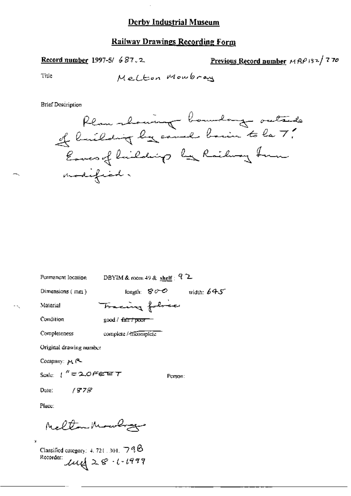### **Railway Drawings Recording Form**

#### Record number 1997-5/687.2.

Previous Record number MRP132/770

Title

**Brief Description** 



| Permanent location                                       | DBYIM & room 49 & shelf $\mathcal{L}$ |                    |  |  |
|----------------------------------------------------------|---------------------------------------|--------------------|--|--|
| Dimensions (mm)                                          | length: $80^\circ$                    | width: $645^\circ$ |  |  |
| Material                                                 | Tracing followed                      |                    |  |  |
| Condition                                                | good / <i>f</i> air / proc            |                    |  |  |
| Completeness                                             | complete / mcomplete                  |                    |  |  |
| Original drawing number                                  |                                       |                    |  |  |
| Company: MR                                              |                                       |                    |  |  |
| Scale: $\int_{0}^{\infty}$ = 2.0 $\theta$ e $\infty$ $T$ | Person:                               |                    |  |  |
| Date: $/978$                                             |                                       |                    |  |  |
|                                                          |                                       |                    |  |  |

Place:

٠,

Meltan Mowlinger

Classified category: 4, 721, 301,  $\Box$ 9 $\Theta$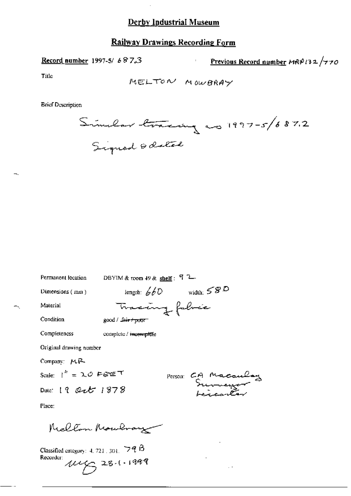### Railway Drawings Recording Form

Record number 1997-5/687.3

Previous Record number MRP132/770

Title

MELTON MOWBRAY

**Brief Description** 

Similar tracing as 1997-5/687.2<br>Signed & datal

 $\bar{z}$ 

| Permanent location        | DBYIM & toom $+9$ & shelf: $9^{\circ}$ 2 |
|---------------------------|------------------------------------------|
| Dimensions (mm)           | width: $58D$<br>length: $660$            |
| Material                  | Tracang fabric                           |
| Condition                 | good / L <del>air / poor -</del>         |
| Completeness              | complete / meemplete                     |
| Original drawing number   |                                          |
| Company: MR               |                                          |
| Scale: $1'' = 2.0$ Fere T |                                          |
| Date: 19 Oct 1878         | Person CA Macaulay                       |
| Place:                    |                                          |
| Mellon Moulmary           |                                          |

 $\sim$   $\epsilon$ 

Classified category:  $4.721.301.$   $\nabla$   $\theta$   $\beta$ Recorder:  $1146328111999$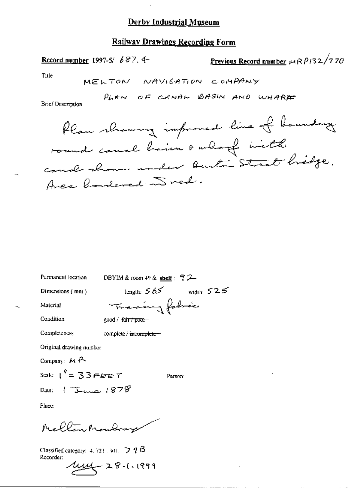# **Railway Drawings Recording Form**

Previous Record number  $\mu$ 1 R  $\rho$ 132/770 Record number 1997-5/  $687.4$ Title MELTON NAVIGATION COMPANY PLAN OF CANAL BASIN AND WHARE

**Brief Description** 



| Permanent location                                                             | DBYIM & room $+9$ & shelf $\div$ 7 2 |  |  |  |
|--------------------------------------------------------------------------------|--------------------------------------|--|--|--|
| Dimensions $(mn)$                                                              | width: $525$<br>length: $565$        |  |  |  |
| Material                                                                       | Francisco folicia                    |  |  |  |
| Condition                                                                      | good / 4air / pcon                   |  |  |  |
| Completeness                                                                   | complete / <del>intomplete -</del>   |  |  |  |
| Original drawing number                                                        |                                      |  |  |  |
| Company: $M$ $\uparrow$                                                        |                                      |  |  |  |
| Scale: $t'' = 33$ F B B $T$                                                    | Person:                              |  |  |  |
| Date: $15$ map $1878$                                                          |                                      |  |  |  |
| Place:                                                                         |                                      |  |  |  |
| McClinghamler                                                                  |                                      |  |  |  |
| Classified category: $4.721$ , $301$ , $\supseteq$ $\eta$ $\beta$<br>Recorder: | 1.1999                               |  |  |  |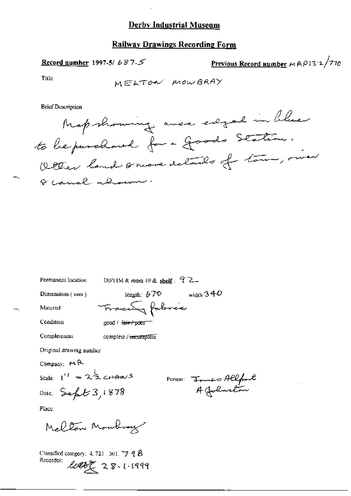### **Railway Drawings Recording Form**

Previous Record number  $MRP13.2/770$ Record number 1997-5/687.5

Title

MELTON MOWBRAY

**Brief Description** 

Permanent location



DBYIM & room 49 & shelf:  $72$ length:  $670$ width:  $340$ Dimensions ( $tan$ ) Fracen fabric Material Condition good / fair / poor Completeness complete / incomplete Original drawing number Company: MR Scale:  $1^{\prime\prime} = 2\frac{1}{2}$  c<sub>H</sub>Am/5 Person: James Allfoot Date:  $Seft3,1878$ Place: Mellon Monterey

Classified category:  $4.721$  ,  $301$ ,  $\neg$   $q$   $B$ Recorder:  $2002223.1.1999$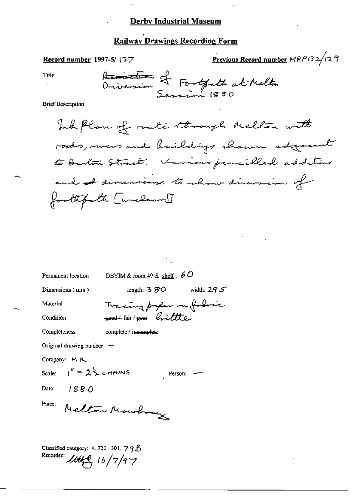### **Railway Drawings Recording Form**

#### Record number 1997-5/ $(27$

Previous Record number 14RP132/129

Title

Desintion of Footpath at Melta

**Brief Description** 

Ink plan of route through Melton with roods, vivers and buildings shown adjoint to Barton Street. Various pencilled additions and I dimensions to rhow diversion of foothfall [unclear!]

DBYIM & room 49 & shelf:  $60$ Permanent location length: 3 SO width:  $29S$ Dimensions (mm) Tracing paper on folice Material sood / fair / poor brittle Condition complete / incomplete Completeness Original drawing number -Company: MR  $1'' = 2\frac{1}{2}$  chains Scale: Person:  $1880$ Date: Melton Monotray Place: Classified category: 4. 721, 301,  $79\%$ Recorder:  $\mathcal{U}\rightarrow\mathcal{C}$  16/7/97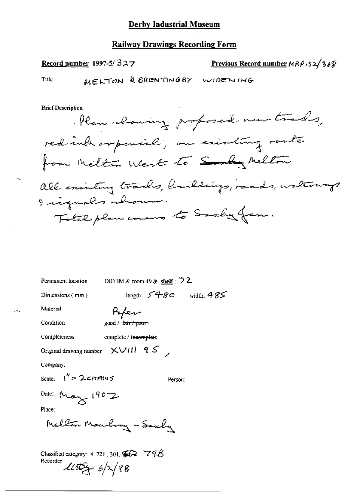Record number 1997-5/ $327$ 

Previous Record number  $MRP/32/36%$ 

Title

**Brief Description** 

Plan reming proposed new trades, red introrpencial; on existing route from Melton West to Sampy Melton all existing trades, huildings, rands, waterways Eignals about. Total plan covered to Sadla from.

Permanent location

DBYIM & room 49 & shelf :  $\sqrt{2}$ 

Dimensions (mm)

length;  $548c$  width;  $485$ 

Paper good / f<del>air / poo</del>

Condition

Material

Completeness

complete / incomplete

Original drawing number  $\chi$   $\vee$  (11  $\frac{1}{3}$   $\zeta$ )

Company:

Scale: 
$$
1'' = 2
$$

Alv 5

Person:

Date: May 1902

Place:

Mellon Moubray - Sexchy

Classified category: 4, 721, 301,  $\mathcal{G} \mathcal{D}$   $\mathcal{D} \mathcal{A} \mathcal{B}$ Recorder:  $\mathcal{L}152 + 6\sqrt{28}$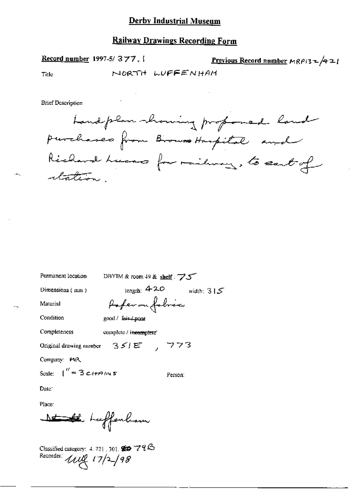### **Railway Drawings Recording Form**

Record number 1997-5/377. **Previous Record number**  $MRP/3 = 421$ NORTH WUFFENHAM Title

**Brief Description** 



Permanent location

DBYIM & room 49 & shelf : 75

Dimensions (mm)

Material

Paperon fobric

Condition

good / fair / poor

Completeness complete / incomplete

Original drawing number  $35/E$ , 773

Company: MR

Scale:  $\int_{0}^{\pi}$  = 3 c  $H$   $\theta$   $\mu$  s

Person.

length:  $420$  width:  $315$ 

Date:

Place:

Nt the Leffenham

Classified category: 4, 721, 301,  $\otimes$   $\otimes$   $79\odot$ Recorder: *Will 17/2/98*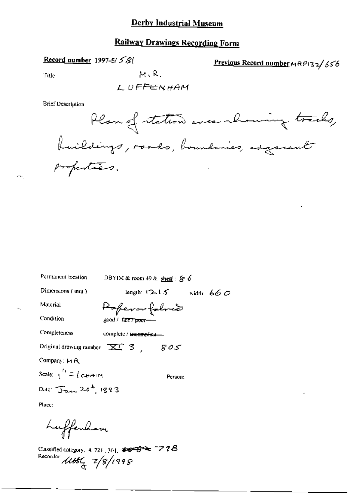# Railway Drawings Recording Form

### Record number 1997-5/ $\leq$ 8(

Previous Record number MRP132/656

Title

 $M, R$ .

LUFFENHAM

**Brief Description** 



| Permanent location                        | DBYIM & room 49 & shelf: S 6    |
|-------------------------------------------|---------------------------------|
| Dimensions (mm)                           | length: $12.15$<br>width: $660$ |
| Material                                  | Poperarfoloxía                  |
| Condition                                 | good / fa <del>ir / poor—</del> |
| Completeness                              | complete / incomplete-          |
| Original drawing number $\overline{KL}$ 3 | 805                             |
| Company: MR                               |                                 |
| Scale: $\frac{1}{1}$ = (cHAIM             | Person:                         |
| Date: $\int_{\text{max}} 20^b$ , 1893     |                                 |
| Place:                                    |                                 |
|                                           |                                 |

Luffenham

Classified category, 4, 721, 301,  $\overline{\bullet} \overline{\bullet} \overline{\bullet} \overline{\bullet} \overline{\bullet} \overline{\bullet} \overline{\bullet} \overline{\bullet} \overline{\bullet} \overline{\bullet} \overline{\bullet} \overline{\bullet} \overline{\bullet} \overline{\bullet} \overline{\bullet} \overline{\bullet} \overline{\bullet} \overline{\bullet} \overline{\bullet} \overline{\bullet} \overline{\bullet} \overline{\bullet} \overline{\bullet} \overline{\bullet} \overline{\bullet} \overline{\bullet} \overline{\bullet} \overline{\bullet} \overline{\bullet} \overline{\bullet} \overline{\bullet}$ Recorder:  $4466$   $7/8/1998$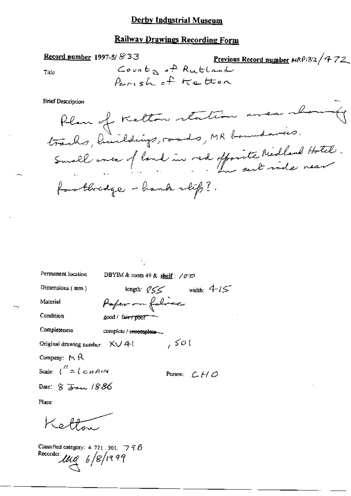#### Railway Drawings Recording Form

Record number 1997-5/833 Previous Record number MRP132/472 County of Rutland Title Parish of Ketton **Brief Description** 

Plan of Kelton station area show Small avec of land in red offorite Medland Hotel. footbridge - hands slip?.

| Dimensions $(mm)$ |  |
|-------------------|--|
| Material          |  |

Permanent location

length:  $\ell$  SS width:  $4\ell$ Paper on folice

DBYIM & room 49 & shelf:  $/0$  O

Condition

Completeness

complete / incomplete ...

 $good /$  fair  $f$  poor

Original drawing number  $X \cup A$ 

Company:  $M$   $R$ 

Scale:  $\int_{0}^{R} = \int_{0}^{R} G H H dW$ 

Date: 8 Jan 1886

Person:  $C + C$ 

 $7506$ 

Place:

Ketten

Classified category:  $4.721$ , 301,  $-7$   $7$   $6$ Recorder  $\mu_{\mathcal{A}}$  6/8/1999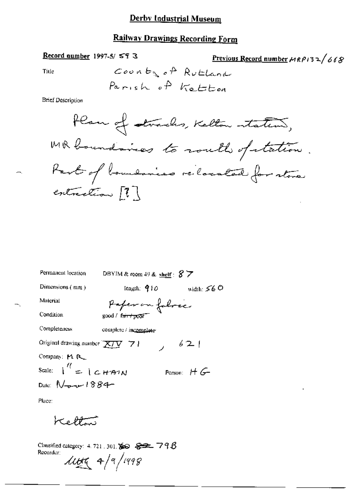# Railway Drawings Recording Form

### Record number 1997-5/593

Previous Record number  $MRPI32/668$ 

Title

**Brief Description** 

| Permanent location                              | DBYIM & room 49 & shelf: $8\overline{7}$ |               |
|-------------------------------------------------|------------------------------------------|---------------|
| Dimensions (mm)                                 | length: $910$                            | width: $560$  |
| Material                                        | Paper on fabres                          |               |
| Condition                                       |                                          |               |
| Completeness                                    | complete / incomplate                    |               |
| Original drawing number $\chi/\chi \to 1$       | $\lambda$                                | 621           |
| Company: MR                                     |                                          |               |
| Scale: $\frac{1}{1}$ $=$ $1 \text{cm}$ $\gamma$ |                                          | Person: $H G$ |
| Date: $N_{\text{max}}$ 1884                     |                                          |               |

Place:

Kelton

Classified category: 4, 721, 301, SO \$22, 79B Recorder:  $41498$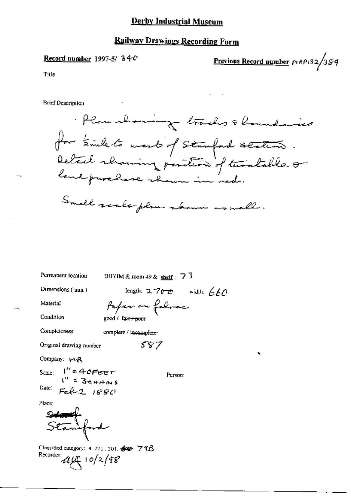# **Railway Drawings Recording Form**

### Record number 1997-5/34-C

Previous Record number  $r_1$ RPi32/384.

Title

**Brief Description** 

Plan howing tracks & houndaries for time to west of stampand station. Detail showing position of turnlable or Smell scale plan shown as well.

length:  $2700$  width:  $660$ Dimensions (mm) Paper on folice Material Condition good / fair+poor Completeness complete / incomplete-587 Original drawing number Company: MR

Scale:  $l'' = 4c$ *FEET*<br> $l'' = 3c + m$ Date:  $Fel-2.1880$ 

Permanent location

DBYIM & room 49 & shelf  $\div$  7  $\overline{3}$ 

Place:

inford

Classified category: 4 721 .301. 60 79B Recorder:  $44 - 10/2/98$ 

Person: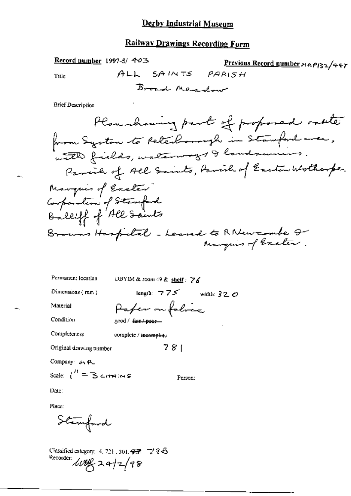# **Railway Drawings Recording Form**

Record number 1997-5/ 403 Previous Record number mn P132/447 ALL SAINTS PARISH Title Broad Meadow

**Brief Description** 

DBYIM & room 49 & shelf: 76 Permanent Iocation

Dimensions (min)

length:  $775$  width:  $320$ 

Material

Condition

Paper on folice good / fair / poor-

Completeness

complete / incomplete

Original drawing number

Company: MR

Scale:  $\int_1^{\mathcal{H}} = 3$  crowns

Person:

 $781$ 

Date:

Place:

Stanford

Classified category:  $4.721$ ,  $301.97$   $796$ Recorder: 100g 2 a 2 2 98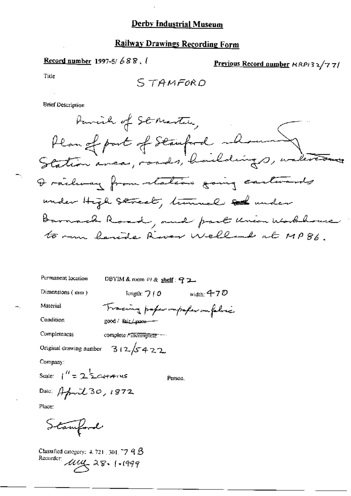Record number 1997-5/688.

Previous Record number  $RRP$ 132/77/

Title

**Brief Description** 

DBYIM & room 49 & shell:  $92$ Permanent location

Dimensions  $(mn)$ 

Material Condition

Tracing paper impaper impalies good / fair / poor --

Completeness complete / mcomplete ---

Original drawing number  $312/5422$ 

Company:

Scale:  $1^{11} = 2^{1}$   $24 + 41$ 

Person.

length:  $7/0$  width: 4-70

Date: April 30, 1872

Place:

Stanford

Classified category:  $4.721 \pm 301.77$  A  $\beta$ Recorder 1114 28. 1.1999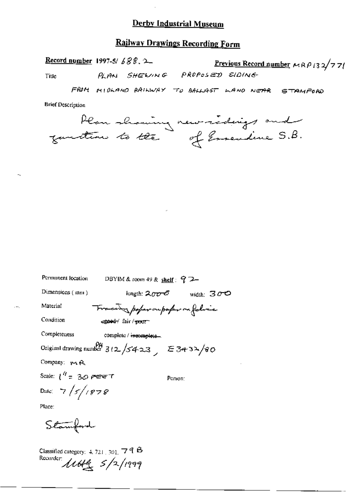# **Railway Drawings Recording Form**

Record number 1997-5/ $\angle$  $\angle$  $\angle$  $\angle$ 

Previous Record number  $MRP/32/77$ PLAN SHEWING PROPOSED SIDING

Title

FROM MIDLAND RAILWAY TO BALLAST WAND NEAR STAMFORD

**Brief Description** 

|               | Plan showing new sidings and |  |
|---------------|------------------------------|--|
| guntin to the | of Ersendine S.B.            |  |

| Permanent location                    |                                                          |                    |
|---------------------------------------|----------------------------------------------------------|--------------------|
| Dimensions $(mn)$                     | knyth: ス $\sigma\sigma$ -රී                              | width: $3\sigma$ O |
| Material                              | Trace poper outspor on folice                            |                    |
| Condition                             | egood fair/poor                                          |                    |
| Completeness                          | complete / incomplete                                    |                    |
|                                       | Original drawing number $3(2)/5423$ , $\epsilon$ 3434/80 |                    |
| Company: you R.                       |                                                          |                    |
| Scale: $1^{\prime\prime}$ = 30 perent |                                                          | Person:            |
| Date: $7/5/1878$                      |                                                          |                    |
| Place:                                |                                                          |                    |
| Stamford                              |                                                          |                    |

Classified category: 4.721, 301, 79 B<br>Recorder: 11644 5/2/1999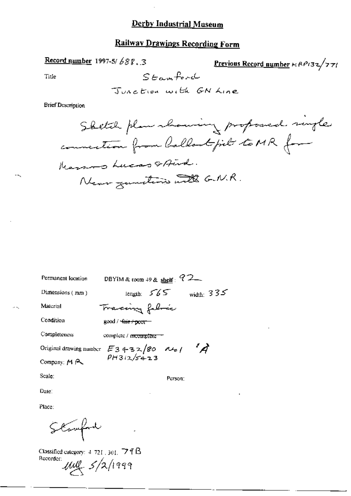# **Railway Drawings Recording Form**

Record number 1997-5/688.3

Previous Record number + RP132/771

Title

÷.

 $\sim$   $\sim$ 

Junction with GN Line

 $Stamfoot$ 

**Brief Description** 

| Permanent location      | DBYIM & toom 49 & shelf: $72-$                   |  |
|-------------------------|--------------------------------------------------|--|
| Dimensions (mm)         | width: $335$<br>length: $565$                    |  |
| Material                | Tracing fabric                                   |  |
| Condition               | good / <del>fair / poor =</del>                  |  |
| Completeness            | complete / mcomplète                             |  |
| Original drawing number | $\mathscr{A}$<br>$E3432/80$ $M_0/$<br>PH312/5423 |  |
| Company: M P            |                                                  |  |
| Scale:                  | Purson:                                          |  |

Date:

Place:

Stanfare

Classified category: 4-721, 301, 79 fB Recorder  $\mu\ell$   $5/2/1999$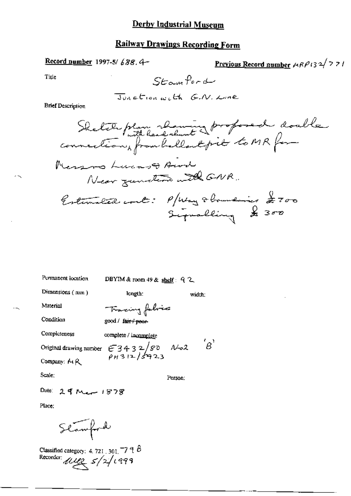width;

 $B'$ 

Entimated cont: 
$$
P_{\text{[Mag}}\neq 0
$$

Permanent location

DBYIM & room 49 & shelf: 92

Dimensions (mm)

Tracing folice

length:

Condition

Material

good / fair / peer-

Completeness complete / incomplete

Original drawing number  $63432/80$   $N=2$ <br> $9H312/5923$ 

Company: MR

Scale:

Person:

Date: 2 of Mar 1878

Place:

Stamford

Classified category: 4.721, 301, 79  $\beta$ <br>Recorder: UUQ 5/2/1999

 $\overline{\phantom{a}}$ 

×Ч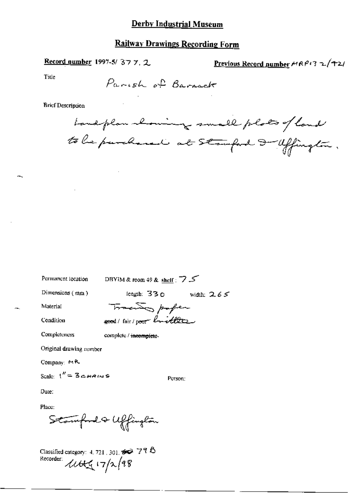Record number 1997-5/377.2

Previous Record number  $MRP/3 \sim \sqrt{+2/5}$ 

Title

**Brief Description** 

Landplan aboming small plats of land to be purchased at stamford I affington.

Permanent location DBYIM & room 49 & shelf : 7

Dimensions  $($  mm $)$ 

length: 330 width:  $2.65$ 

Person:

Material

Condition

**Completeness** complete / incomplete-

Original drawing number

Company: MR

Scale:  $1'' = 3$  chains

Place:

Date:

Stamford & Uffington

Classified category: 4, 721, 301,  $\bullet$  77  $\bullet$ Recorder:  $\mu$  $\mu$ <sub>17/2</sub>/98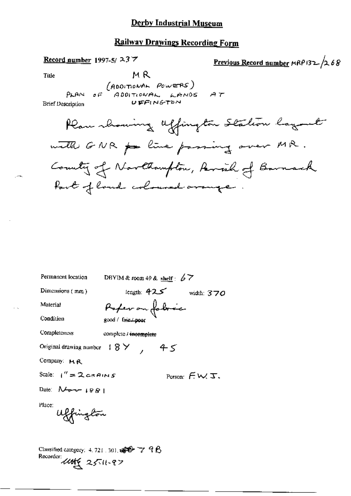### **Railway Drawings Recording Form**



Permanent location DBYIM & room 49 & shelf:  $67$ length: 425 width: 370 Dimensions (mm) Referan fobrec Material Condition good / fair / poor Completeness complete / incomplete Original drawing number  $8 \times 45$ Company: MR Scale:  $1'' = 2 \cos A \sin B$ Person:  $\in \mathcal{W}$   $\mathcal{F}$ . Date:  $N_{\sigma}$  +  $|gg|$ Place: Uffington Classified category:  $4.721 \cdot 301$ ,  $\mathbf{F}$   $\mathbf{F}$   $\mathbf{7}$  and  $\mathbf{8}$ Recorder:  $4466$  25-11-97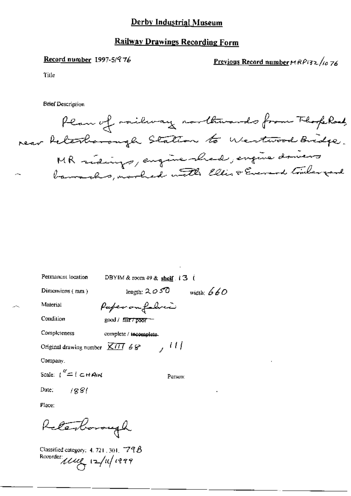### **Railway Drawings Recording Form**

#### Record number 1997-5/976

Previous Record number MRP132/1076

Title

**Brief Description** 



| Permanent location                                                   | DBYIM & room 49 & shelf (3) (  |
|----------------------------------------------------------------------|--------------------------------|
| Dimensions (mm)                                                      | length: $2050$<br>width: $660$ |
| Material                                                             | Paper on foliver               |
| Condition                                                            | good / fair / poor             |
| Completeness                                                         | complete / incomplete.         |
| Original drawing number $\overline{X/\overline{H}}$ 6 $\overline{S}$ | , 111                          |
| Company.                                                             |                                |
| Scale: $t'' = t \in HA$                                              | Person:                        |
| Date: $/88$                                                          |                                |
| Place:                                                               |                                |
| elenborough                                                          |                                |

Classified category: 4, 721 , 301,  $\sqrt{778}$ Recorder use 12/14/1999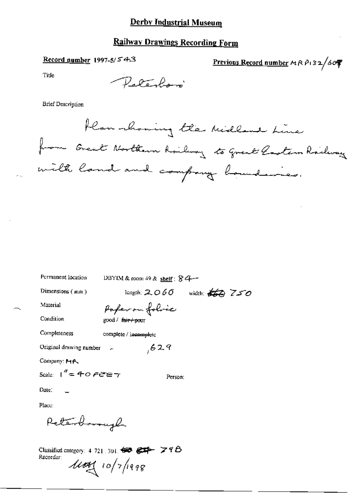# **Railway Drawings Recording Form**

# Record number 1997-5/543

Previous Record number  $A \wedge P$ 132/60

Title

Peterlor

**Brief Description** 

flan showing the Midland Line from Great Northern Railway to great Castern Railway with land and company boundaries.

| Permanent location                      | DBYIM & room 49 & shelf: $84-$ |                                           |
|-----------------------------------------|--------------------------------|-------------------------------------------|
| Dimensions (mm)                         |                                | length: 2060 width: $\frac{1}{200}$ $750$ |
| Material                                | Paper on folice                |                                           |
| Condition                               | good / f <del>air / poor</del> |                                           |
| Completeness                            | complete / incomplete          |                                           |
| Original drawing number                 | 629                            |                                           |
| Company: 14P                            |                                |                                           |
| Scale: $I'' = 40$ $\epsilon$ and $\tau$ | Person:                        |                                           |
| Date:                                   |                                |                                           |
| Place:                                  |                                |                                           |
| Retail maybe                            |                                |                                           |
|                                         |                                |                                           |

Classified category: 4.721, 301,  $\bigoplus$   $\bigoplus$   $\bigoplus$   $\bigoplus$   $\bigoplus$   $\bigoplus$   $\bigoplus$   $\bigoplus$   $\bigoplus$   $\bigoplus$   $\bigoplus$   $\bigoplus$   $\bigoplus$   $\bigoplus$   $\bigoplus$   $\bigoplus$   $\bigoplus$   $\bigoplus$   $\bigoplus$   $\bigoplus$   $\bigoplus$   $\bigoplus$   $\bigoplus$   $\bigoplus$   $\bigoplus$   $\bigoplus$   $\bigoplus$ Recorder:  $\frac{1}{4}$  10/7/1998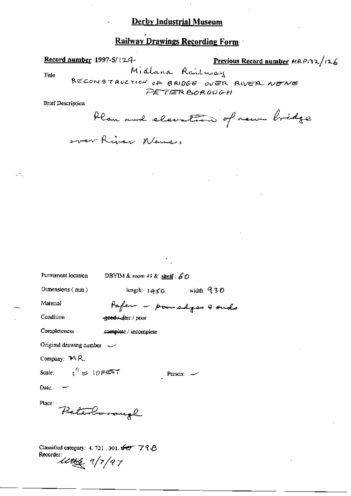# **Railway Drawings Recording Form**

Previous Record number MRP132/126 Record number 1997-5/124-Midlana Railway Title RECONSTRUCTION OF BRIDGE OVER RIVER NEWS PETERBOROUGH **Brief Description** Plan and elevation of new bridge over River Never.

| Permanent location                                                                   | DBYIM & room 49 & shelf: $60$ |  |
|--------------------------------------------------------------------------------------|-------------------------------|--|
| Dimensions $(mn)$                                                                    | length: $1450$ width: $930$   |  |
| Material                                                                             | Pafer - pour edges & ends     |  |
| Condition                                                                            | -geed + fair / poor           |  |
| Completeness                                                                         | complete / incomplete         |  |
| Original drawing number $\sim$                                                       |                               |  |
| Company: $M$ R.                                                                      |                               |  |
| Scale: $\mathfrak{t}^{\prime\prime}=10$ FeT $\mathfrak{t}$                           | Person:                       |  |
| Date: $-$                                                                            |                               |  |
| Place:<br>Peterborough                                                               |                               |  |
| Classified category: 4, 721, 301, $60^\circ$ 7 9 $\beta$<br>Recorder:<br>utta 1/1/97 |                               |  |

ж,